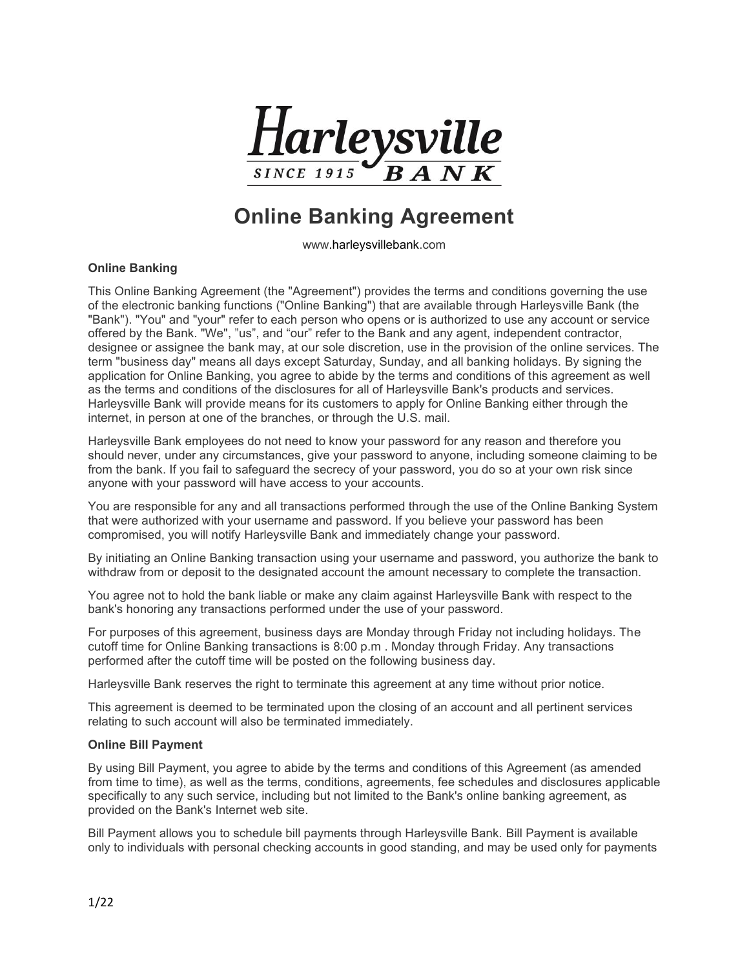

# **Online Banking Agreement**

[www.harleysvillebank.com](http://www.harleysvillebank.com) 

#### **Online Banking**

This Online Banking Agreement (the "Agreement") provides the terms and conditions governing the use of the electronic banking functions ("Online Banking") that are available through Harleysville Bank (the "Bank"). "You" and "your" refer to each person who opens or is authorized to use any account or service offered by the Bank. "We", "us", and "our" refer to the Bank and any agent, independent contractor, designee or assignee the bank may, at our sole discretion, use in the provision of the online services. The term "business day" means all days except Saturday, Sunday, and all banking holidays. By signing the application for Online Banking, you agree to abide by the terms and conditions of this agreement as well as the terms and conditions of the disclosures for all of Harleysville Bank's products and services. Harleysville Bank will provide means for its customers to apply for Online Banking either through the internet, in person at one of the branches, or through the U.S. mail.

Harleysville Bank employees do not need to know your password for any reason and therefore you should never, under any circumstances, give your password to anyone, including someone claiming to be from the bank. If you fail to safeguard the secrecy of your password, you do so at your own risk since anyone with your password will have access to your accounts.

You are responsible for any and all transactions performed through the use of the Online Banking System that were authorized with your username and password. If you believe your password has been compromised, you will notify Harleysville Bank and immediately change your password.

By initiating an Online Banking transaction using your username and password, you authorize the bank to withdraw from or deposit to the designated account the amount necessary to complete the transaction.

You agree not to hold the bank liable or make any claim against Harleysville Bank with respect to the bank's honoring any transactions performed under the use of your password.

For purposes of this agreement, business days are Monday through Friday not including holidays. The cutoff time for Online Banking transactions is 8:00 p.m . Monday through Friday. Any transactions performed after the cutoff time will be posted on the following business day.

Harleysville Bank reserves the right to terminate this agreement at any time without prior notice.

This agreement is deemed to be terminated upon the closing of an account and all pertinent services relating to such account will also be terminated immediately.

#### **Online Bill Payment**

By using Bill Payment, you agree to abide by the terms and conditions of this Agreement (as amended from time to time), as well as the terms, conditions, agreements, fee schedules and disclosures applicable specifically to any such service, including but not limited to the Bank's online banking agreement, as provided on the Bank's Internet web site.

Bill Payment allows you to schedule bill payments through Harleysville Bank. Bill Payment is available only to individuals with personal checking accounts in good standing, and may be used only for payments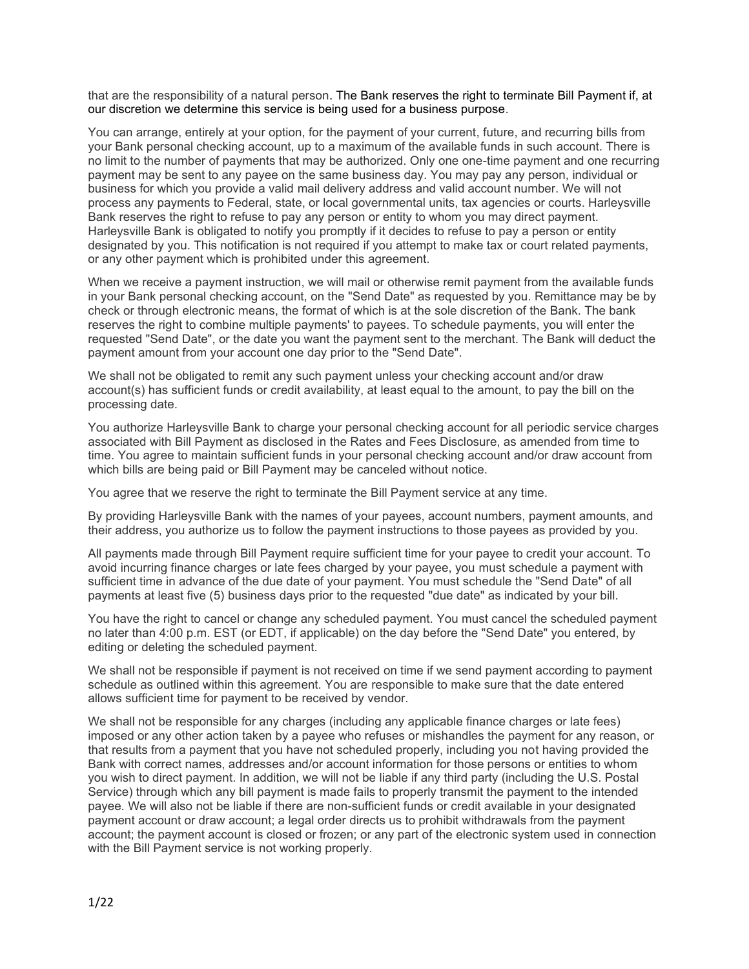that are the responsibility of a natural person. The Bank reserves the right to terminate Bill Payment if, at our discretion we determine this service is being used for a business purpose.

You can arrange, entirely at your option, for the payment of your current, future, and recurring bills from your Bank personal checking account, up to a maximum of the available funds in such account. There is no limit to the number of payments that may be authorized. Only one one-time payment and one recurring payment may be sent to any payee on the same business day. You may pay any person, individual or business for which you provide a valid mail delivery address and valid account number. We will not process any payments to Federal, state, or local governmental units, tax agencies or courts. Harleysville Bank reserves the right to refuse to pay any person or entity to whom you may direct payment. Harleysville Bank is obligated to notify you promptly if it decides to refuse to pay a person or entity designated by you. This notification is not required if you attempt to make tax or court related payments, or any other payment which is prohibited under this agreement.

When we receive a payment instruction, we will mail or otherwise remit payment from the available funds in your Bank personal checking account, on the "Send Date" as requested by you. Remittance may be by check or through electronic means, the format of which is at the sole discretion of the Bank. The bank reserves the right to combine multiple payments' to payees. To schedule payments, you will enter the requested "Send Date", or the date you want the payment sent to the merchant. The Bank will deduct the payment amount from your account one day prior to the "Send Date".

We shall not be obligated to remit any such payment unless your checking account and/or draw account(s) has sufficient funds or credit availability, at least equal to the amount, to pay the bill on the processing date.

You authorize Harleysville Bank to charge your personal checking account for all periodic service charges associated with Bill Payment as disclosed in the Rates and Fees Disclosure, as amended from time to time. You agree to maintain sufficient funds in your personal checking account and/or draw account from which bills are being paid or Bill Payment may be canceled without notice.

You agree that we reserve the right to terminate the Bill Payment service at any time.

By providing Harleysville Bank with the names of your payees, account numbers, payment amounts, and their address, you authorize us to follow the payment instructions to those payees as provided by you.

All payments made through Bill Payment require sufficient time for your payee to credit your account. To avoid incurring finance charges or late fees charged by your payee, you must schedule a payment with sufficient time in advance of the due date of your payment. You must schedule the "Send Date" of all payments at least five (5) business days prior to the requested "due date" as indicated by your bill.

You have the right to cancel or change any scheduled payment. You must cancel the scheduled payment no later than 4:00 p.m. EST (or EDT, if applicable) on the day before the "Send Date" you entered, by editing or deleting the scheduled payment.

We shall not be responsible if payment is not received on time if we send payment according to payment schedule as outlined within this agreement. You are responsible to make sure that the date entered allows sufficient time for payment to be received by vendor.

We shall not be responsible for any charges (including any applicable finance charges or late fees) imposed or any other action taken by a payee who refuses or mishandles the payment for any reason, or that results from a payment that you have not scheduled properly, including you not having provided the Bank with correct names, addresses and/or account information for those persons or entities to whom you wish to direct payment. In addition, we will not be liable if any third party (including the U.S. Postal Service) through which any bill payment is made fails to properly transmit the payment to the intended payee. We will also not be liable if there are non-sufficient funds or credit available in your designated payment account or draw account; a legal order directs us to prohibit withdrawals from the payment account; the payment account is closed or frozen; or any part of the electronic system used in connection with the Bill Payment service is not working properly.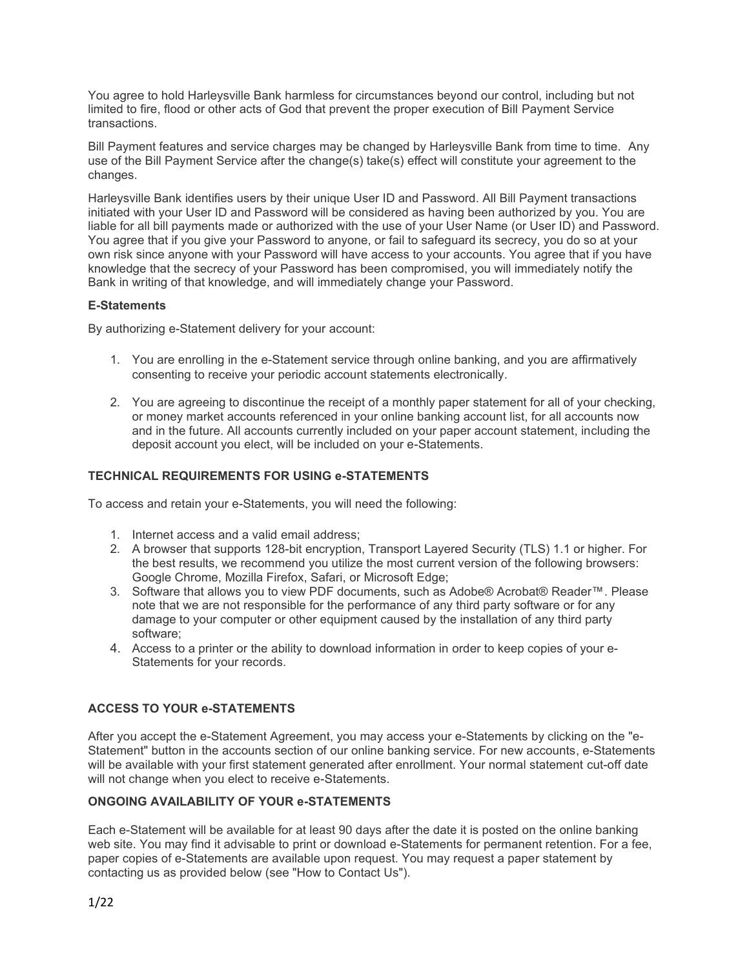You agree to hold Harleysville Bank harmless for circumstances beyond our control, including but not limited to fire, flood or other acts of God that prevent the proper execution of Bill Payment Service transactions.

Bill Payment features and service charges may be changed by Harleysville Bank from time to time. Any use of the Bill Payment Service after the change(s) take(s) effect will constitute your agreement to the changes.

Harleysville Bank identifies users by their unique User ID and Password. All Bill Payment transactions initiated with your User ID and Password will be considered as having been authorized by you. You are liable for all bill payments made or authorized with the use of your User Name (or User ID) and Password. You agree that if you give your Password to anyone, or fail to safeguard its secrecy, you do so at your own risk since anyone with your Password will have access to your accounts. You agree that if you have knowledge that the secrecy of your Password has been compromised, you will immediately notify the Bank in writing of that knowledge, and will immediately change your Password.

# **E-Statements**

By authorizing e-Statement delivery for your account:

- 1. You are enrolling in the e-Statement service through online banking, and you are affirmatively consenting to receive your periodic account statements electronically.
- 2. You are agreeing to discontinue the receipt of a monthly paper statement for all of your checking, or money market accounts referenced in your online banking account list, for all accounts now and in the future. All accounts currently included on your paper account statement, including the deposit account you elect, will be included on your e-Statements.

# **TECHNICAL REQUIREMENTS FOR USING e-STATEMENTS**

To access and retain your e-Statements, you will need the following:

- 1. Internet access and a valid email address;
- 2. A browser that supports 128-bit encryption, Transport Layered Security (TLS) 1.1 or higher. For the best results, we recommend you utilize the most current version of the following browsers: Google Chrome, Mozilla Firefox, Safari, or Microsoft Edge;
- 3. Software that allows you to view PDF documents, such as Adobe® Acrobat® Reader™. Please note that we are not responsible for the performance of any third party software or for any damage to your computer or other equipment caused by the installation of any third party software;
- 4. Access to a printer or the ability to download information in order to keep copies of your e-Statements for your records.

# **ACCESS TO YOUR e-STATEMENTS**

After you accept the e-Statement Agreement, you may access your e-Statements by clicking on the "e-Statement" button in the accounts section of our online banking service. For new accounts, e-Statements will be available with your first statement generated after enrollment. Your normal statement cut-off date will not change when you elect to receive e-Statements.

# **ONGOING AVAILABILITY OF YOUR e-STATEMENTS**

Each e-Statement will be available for at least 90 days after the date it is posted on the online banking web site. You may find it advisable to print or download e-Statements for permanent retention. For a fee, paper copies of e-Statements are available upon request. You may request a paper statement by contacting us as provided below (see "How to Contact Us").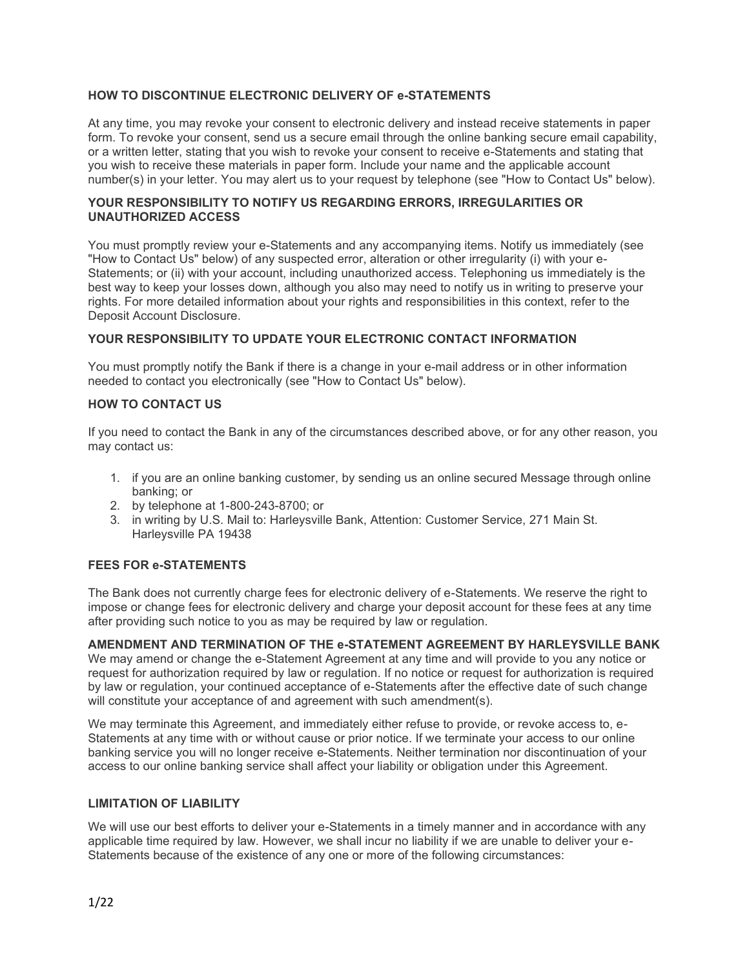#### **HOW TO DISCONTINUE ELECTRONIC DELIVERY OF e-STATEMENTS**

At any time, you may revoke your consent to electronic delivery and instead receive statements in paper form. To revoke your consent, send us a secure email through the online banking secure email capability, or a written letter, stating that you wish to revoke your consent to receive e-Statements and stating that you wish to receive these materials in paper form. Include your name and the applicable account number(s) in your letter. You may alert us to your request by telephone (see "How to Contact Us" below).

#### **YOUR RESPONSIBILITY TO NOTIFY US REGARDING ERRORS, IRREGULARITIES OR UNAUTHORIZED ACCESS**

You must promptly review your e-Statements and any accompanying items. Notify us immediately (see "How to Contact Us" below) of any suspected error, alteration or other irregularity (i) with your e-Statements; or (ii) with your account, including unauthorized access. Telephoning us immediately is the best way to keep your losses down, although you also may need to notify us in writing to preserve your rights. For more detailed information about your rights and responsibilities in this context, refer to the Deposit Account Disclosure.

#### **YOUR RESPONSIBILITY TO UPDATE YOUR ELECTRONIC CONTACT INFORMATION**

You must promptly notify the Bank if there is a change in your e-mail address or in other information needed to contact you electronically (see "How to Contact Us" below).

#### **HOW TO CONTACT US**

If you need to contact the Bank in any of the circumstances described above, or for any other reason, you may contact us:

- 1. if you are an online banking customer, by sending us an online secured Message through online banking; or
- 2. by telephone at 1-800-243-8700; or
- 3. in writing by U.S. Mail to: Harleysville Bank, Attention: Customer Service, 271 Main St. Harleysville PA 19438

#### **FEES FOR e-STATEMENTS**

The Bank does not currently charge fees for electronic delivery of e-Statements. We reserve the right to impose or change fees for electronic delivery and charge your deposit account for these fees at any time after providing such notice to you as may be required by law or regulation.

**AMENDMENT AND TERMINATION OF THE e-STATEMENT AGREEMENT BY HARLEYSVILLE BANK** We may amend or change the e-Statement Agreement at any time and will provide to you any notice or request for authorization required by law or regulation. If no notice or request for authorization is required by law or regulation, your continued acceptance of e-Statements after the effective date of such change will constitute your acceptance of and agreement with such amendment(s).

We may terminate this Agreement, and immediately either refuse to provide, or revoke access to, e-Statements at any time with or without cause or prior notice. If we terminate your access to our online banking service you will no longer receive e-Statements. Neither termination nor discontinuation of your access to our online banking service shall affect your liability or obligation under this Agreement.

#### **LIMITATION OF LIABILITY**

We will use our best efforts to deliver your e-Statements in a timely manner and in accordance with any applicable time required by law. However, we shall incur no liability if we are unable to deliver your e-Statements because of the existence of any one or more of the following circumstances: